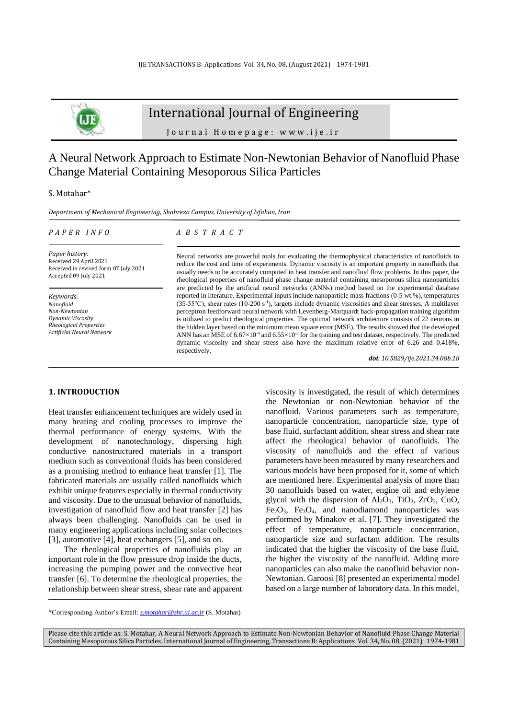

# International Journal of Engineering

J o u r n a l H o m e p a g e : w w w . i j e . i r

## A Neural Network Approach to Estimate Non-Newtonian Behavior of Nanofluid Phase Change Material Containing Mesoporous Silica Particles

## S. Motahar\*

*Department of Mechanical Engineering, Shahreza Campus, University of Isfahan, Iran*

#### *P A P E R I N F O*

## *A B S T R A C T*

*Paper history:* Received 29 April 2021 Received in revised form 07 July 2021 Accepted 09 July 2021

*Keywords*: *Nanofluid Non-Newtonian Dynamic Viscosity Rheological Properties Artificial Neural Network*  Neural networks are powerful tools for evaluating the thermophysical characteristics of nanofluids to reduce the cost and time of experiments. Dynamic viscosity is an important property in nanofluids that usually needs to be accurately computed in heat transfer and nanofluid flow problems. In this paper, the rheological properties of nanofluid phase change material containing mesoporous silica nanoparticles are predicted by the artificial neural networks (ANNs) method based on the experimental database reported in literature. Experimental inputs include nanoparticle mass fractions (0-5 wt.%), temperatures (35-55℃), shear rates (10-200 s-1 ), targets include dynamic viscosities and shear stresses. A multilayer perceptron feedforward neural network with Levenberg-Marquardt back-propagation training algorithm is utilized to predict rheological properties. The optimal network architecture consists of 22 neurons in the hidden layer based on the minimum mean square error (MSE). The results showed that the developed ANN has an MSE of  $6.67\times10^{-4}$  and  $6.55\times10^{-3}$  for the training and test dataset, respectively. The predicted dynamic viscosity and shear stress also have the maximum relative error of 6.26 and 0.418%, respectively.

*doi: 10.5829/ije.2021.34.08b.18*

## **1. INTRODUCTION<sup>1</sup>**

Heat transfer enhancement techniques are widely used in many heating and cooling processes to improve the thermal performance of energy systems. With the development of nanotechnology, dispersing high conductive nanostructured materials in a transport medium such as conventional fluids has been considered as a promising method to enhance heat transfer [1]. The fabricated materials are usually called nanofluids which exhibit unique features especially in thermal conductivity and viscosity. Due to the unusual behavior of nanofluids, investigation of nanofluid flow and heat transfer [2] has always been challenging. Nanofluids can be used in many engineering applications including solar collectors [3], automotive [4], heat exchangers [5], and so on.

The rheological properties of nanofluids play an important role in the flow pressure drop inside the ducts, increasing the pumping power and the convective heat transfer [6]. To determine the rheological properties, the relationship between shear stress, shear rate and apparent viscosity is investigated, the result of which determines the Newtonian or non-Newtonian behavior of the nanofluid. Various parameters such as temperature, nanoparticle concentration, nanoparticle size, type of base fluid, surfactant addition, shear stress and shear rate affect the rheological behavior of nanofluids. The viscosity of nanofluids and the effect of various parameters have been measured by many researchers and various models have been proposed for it, some of which are mentioned here. Experimental analysis of more than 30 nanofluids based on water, engine oil and ethylene glycol with the dispersion of  $Al_2O_3$ ,  $TiO_2$ ,  $ZrO_2$ ,  $CuO$ ,  $Fe<sub>2</sub>O<sub>3</sub>$ ,  $Fe<sub>3</sub>O<sub>4</sub>$ , and nanodiamond nanoparticles was performed by Minakov et al. [7]. They investigated the effect of temperature, nanoparticle concentration, nanoparticle size and surfactant addition. The results indicated that the higher the viscosity of the base fluid, the higher the viscosity of the nanofluid. Adding more nanoparticles can also make the nanofluid behavior non-Newtonian. Garoosi [8] presented an experimental model based on a large number of laboratory data. In this model,

<sup>\*</sup>Corresponding Author's Email: *[s.motahar@shr.ui.ac.ir](mailto:s.motahar@shr.ui.ac.ir)* (S. Motahar)

Please cite this article as: S. Motahar, A Neural Network Approach to Estimate Non-Newtonian Behavior of Nanofluid Phase Change Material Containing Mesoporous Silica Particles, International Journal of Engineering, Transactions B: Applications Vol. 34, No. 08, (2021) 1974-1981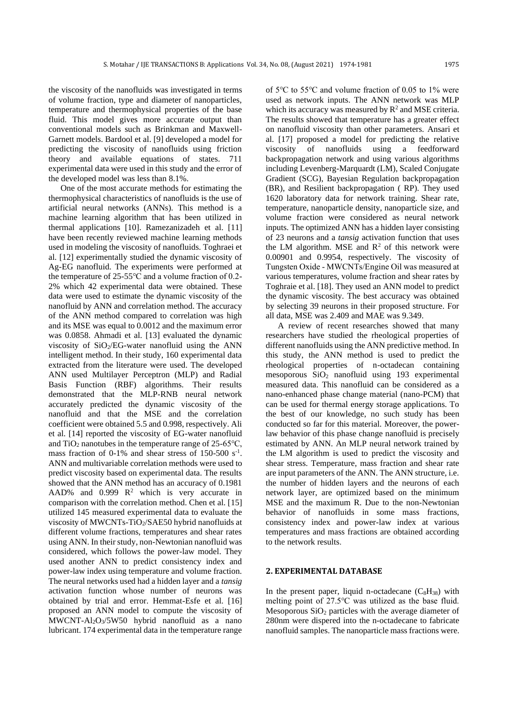the viscosity of the nanofluids was investigated in terms of volume fraction, type and diameter of nanoparticles, temperature and thermophysical properties of the base fluid. This model gives more accurate output than conventional models such as Brinkman and Maxwell-Garnett models. Bardool et al. [9] developed a model for predicting the viscosity of nanofluids using friction theory and available equations of states. 711 experimental data were used in this study and the error of the developed model was less than 8.1%.

One of the most accurate methods for estimating the thermophysical characteristics of nanofluids is the use of artificial neural networks (ANNs). This method is a machine learning algorithm that has been utilized in thermal applications [10]. Ramezanizadeh et al. [11] have been recently reviewed machine learning methods used in modeling the viscosity of nanofluids. Toghraei et al. [12] experimentally studied the dynamic viscosity of Ag-EG nanofluid. The experiments were performed at the temperature of 25-55℃ and a volume fraction of 0.2- 2% which 42 experimental data were obtained. These data were used to estimate the dynamic viscosity of the nanofluid by ANN and correlation method. The accuracy of the ANN method compared to correlation was high and its MSE was equal to 0.0012 and the maximum error was 0.0858. Ahmadi et al. [13] evaluated the dynamic viscosity of  $SiO<sub>2</sub>/EG-water$  nanofluid using the ANN intelligent method. In their study, 160 experimental data extracted from the literature were used. The developed ANN used Multilayer Perceptron (MLP) and Radial Basis Function (RBF) algorithms. Their results demonstrated that the MLP-RNB neural network accurately predicted the dynamic viscosity of the nanofluid and that the MSE and the correlation coefficient were obtained 5.5 and 0.998, respectively. Ali et al. [14] reported the viscosity of EG-water nanofluid and TiO<sub>2</sub> nanotubes in the temperature range of  $25{\text -}65^{\circ}\text{C}$ , mass fraction of  $0-1\%$  and shear stress of 150-500 s<sup>-1</sup>. ANN and multivariable correlation methods were used to predict viscosity based on experimental data. The results showed that the ANN method has an accuracy of 0.1981 AAD% and  $0.999 \text{ R}^2$  which is very accurate in comparison with the correlation method. Chen et al. [15] utilized 145 measured experimental data to evaluate the viscosity of MWCNTs-TiO2/SAE50 hybrid nanofluids at different volume fractions, temperatures and shear rates using ANN. In their study, non-Newtonian nanofluid was considered, which follows the power-law model. They used another ANN to predict consistency index and power-law index using temperature and volume fraction. The neural networks used had a hidden layer and a *tansig* activation function whose number of neurons was obtained by trial and error. Hemmat-Esfe et al. [16] proposed an ANN model to compute the viscosity of MWCNT-Al2O3/5W50 hybrid nanofluid as a nano lubricant. 174 experimental data in the temperature range

of 5℃ to 55℃ and volume fraction of 0.05 to 1% were used as network inputs. The ANN network was MLP which its accuracy was measured by  $R^2$  and MSE criteria. The results showed that temperature has a greater effect on nanofluid viscosity than other parameters. Ansari et al. [17] proposed a model for predicting the relative viscosity of nanofluids using a feedforward backpropagation network and using various algorithms including Levenberg-Marquardt (LM), Scaled Conjugate Gradient (SCG), Bayesian Regulation backpropagation (BR), and Resilient backpropagation ( RP). They used 1620 laboratory data for network training. Shear rate, temperature, nanoparticle density, nanoparticle size, and volume fraction were considered as neural network inputs. The optimized ANN has a hidden layer consisting of 23 neurons and a *tansig* activation function that uses the LM algorithm. MSE and  $R^2$  of this network were 0.00901 and 0.9954, respectively. The viscosity of Tungsten Oxide ‑ MWCNTs/Engine Oil was measured at various temperatures, volume fraction and shear rates by Toghraie et al. [18]. They used an ANN model to predict the dynamic viscosity. The best accuracy was obtained by selecting 39 neurons in their proposed structure. For all data, MSE was 2.409 and MAE was 9.349.

A review of recent researches showed that many researchers have studied the rheological properties of different nanofluids using the ANN predictive method. In this study, the ANN method is used to predict the rheological properties of n-octadecan containing mesoporous SiO<sup>2</sup> nanofluid using 193 experimental measured data. This nanofluid can be considered as a nano-enhanced phase change material (nano-PCM) that can be used for thermal energy storage applications. To the best of our knowledge, no such study has been conducted so far for this material. Moreover, the powerlaw behavior of this phase change nanofluid is precisely estimated by ANN. An MLP neural network trained by the LM algorithm is used to predict the viscosity and shear stress. Temperature, mass fraction and shear rate are input parameters of the ANN. The ANN structure, i.e. the number of hidden layers and the neurons of each network layer, are optimized based on the minimum MSE and the maximum R. Due to the non-Newtonian behavior of nanofluids in some mass fractions, consistency index and power-law index at various temperatures and mass fractions are obtained according to the network results.

### **2. EXPERIMENTAL DATABASE**

In the present paper, liquid n-octadecane  $(C_8H_{38})$  with melting point of 27.5℃ was utilized as the base fluid. Mesoporous  $SiO<sub>2</sub>$  particles with the average diameter of 280nm were dispered into the n-octadecane to fabricate nanofluid samples. The nanoparticle mass fractions were.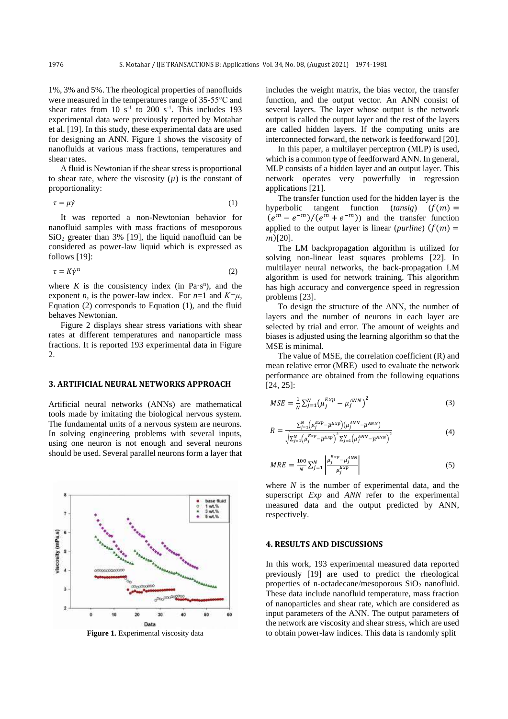1%, 3% and 5%. The rheological properties of nanofluids were measured in the temperatures range of 35-55℃ and shear rates from 10  $s^{-1}$  to 200  $s^{-1}$ . This includes 193 experimental data were previously reported by Motahar et al. [19]. In this study, these experimental data are used for designing an ANN. Figure 1 shows the viscosity of nanofluids at various mass fractions, temperatures and shear rates.

A fluid is Newtonian if the shear stress is proportional to shear rate, where the viscosity  $(\mu)$  is the constant of proportionality:

$$
\tau = \mu \dot{\gamma} \tag{1}
$$

It was reported a non-Newtonian behavior for nanofluid samples with mass fractions of mesoporous  $SiO<sub>2</sub>$  greater than 3% [19], the liquid nanofluid can be considered as power-law liquid which is expressed as follows [19]:

$$
\tau = K \dot{\gamma}^n \tag{2}
$$

where  $K$  is the consistency index (in Pa·s<sup>n</sup>), and the exponent *n*, is the power-law index. For  $n=1$  and  $K=\mu$ , Equation (2) corresponds to Equation (1), and the fluid behaves Newtonian.

Figure 2 displays shear stress variations with shear rates at different temperatures and nanoparticle mass fractions. It is reported 193 experimental data in Figure  $\mathcal{L}$ 

### **3. ARTIFICIAL NEURAL NETWORKS APPROACH**

Artificial neural networks (ANNs) are mathematical tools made by imitating the biological nervous system. The fundamental units of a nervous system are neurons. In solving engineering problems with several inputs, using one neuron is not enough and several neurons should be used. Several parallel neurons form a layer that



**Figure 1.** Experimental viscosity data

includes the weight matrix, the bias vector, the transfer function, and the output vector. An ANN consist of several layers. The layer whose output is the network output is called the output layer and the rest of the layers are called hidden layers. If the computing units are interconnected forward, the network is feedforward [20].

In this paper, a multilayer perceptron (MLP) is used, which is a common type of feedforward ANN. In general, MLP consists of a hidden layer and an output layer. This network operates very powerfully in regression applications [21].

The transfer function used for the hidden layer is the hyperbolic tangent function  $(tansig)$   $(f(m) =$  $(e^m - e^{-m})/(e^m + e^{-m})$  and the transfer function applied to the output layer is linear (*purline*)  $(f(m) =$  $m$ [20].

The LM backpropagation algorithm is utilized for solving non-linear least squares problems [22]. In multilayer neural networks, the back-propagation LM algorithm is used for network training. This algorithm has high accuracy and convergence speed in regression problems [23].

To design the structure of the ANN, the number of layers and the number of neurons in each layer are selected by trial and error. The amount of weights and biases is adjusted using the learning algorithm so that the MSE is minimal.

The value of MSE, the correlation coefficient (R) and mean relative error (MRE) used to evaluate the network performance are obtained from the following equations [24, 25]:

$$
MSE = \frac{1}{N} \sum_{j=1}^{N} (\mu_j^{Exp} - \mu_j^{ANN})^2
$$
 (3)

$$
R = \frac{\sum_{j=1}^{N} (\mu_j^{Exp} - \overline{\mu}^{Exp}) (\mu_j^{ANN} - \overline{\mu}^{ANN})}{\sqrt{\sum_{j=1}^{N} (\mu_j^{Exp} - \overline{\mu}^{Exp})^2 \sum_{j=1}^{N} (\mu_j^{ANN} - \overline{\mu}^{ANN})^2}}
$$
(4)

$$
MRE = \frac{100}{N} \sum_{j=1}^{N} \left| \frac{\mu_j^{Exp} - \mu_j^{ANN}}{\mu_j^{Exp}} \right| \tag{5}
$$

where *N* is the number of experimental data, and the superscript *Exp* and *ANN* refer to the experimental measured data and the output predicted by ANN, respectively.

#### **4. RESULTS AND DISCUSSIONS**

In this work, 193 experimental measured data reported previously [19] are used to predict the rheological properties of n-octadecane/mesoporous  $SiO<sub>2</sub>$  nanofluid. These data include nanofluid temperature, mass fraction of nanoparticles and shear rate, which are considered as input parameters of the ANN. The output parameters of the network are viscosity and shear stress, which are used to obtain power-law indices. This data is randomly split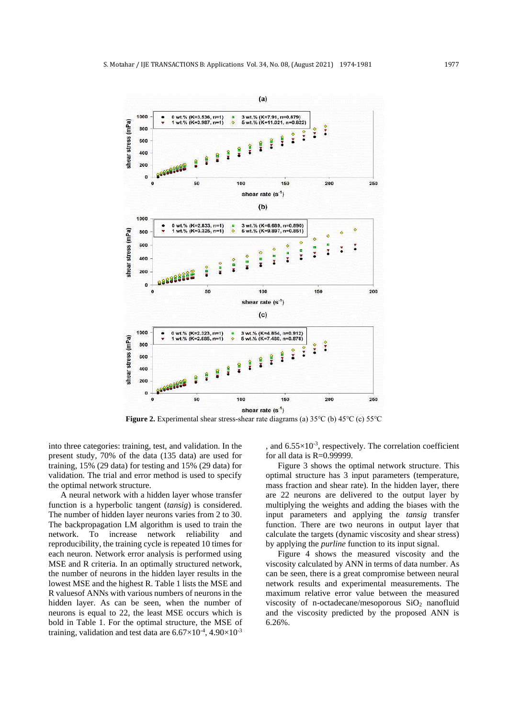

**Figure 2.** Experimental shear stress-shear rate diagrams (a) 35℃ (b) 45℃ (c) 55℃

into three categories: training, test, and validation. In the present study, 70% of the data (135 data) are used for training, 15% (29 data) for testing and 15% (29 data) for validation. The trial and error method is used to specify the optimal network structure.

A neural network with a hidden layer whose transfer function is a hyperbolic tangent (*tansig*) is considered. The number of hidden layer neurons varies from 2 to 30. The backpropagation LM algorithm is used to train the network. To increase network reliability and reproducibility, the training cycle is repeated 10 times for each neuron. Network error analysis is performed using MSE and R criteria. In an optimally structured network, the number of neurons in the hidden layer results in the lowest MSE and the highest R. Table 1 lists the MSE and R valuesof ANNs with various numbers of neurons in the hidden layer. As can be seen, when the number of neurons is equal to 22, the least MSE occurs which is bold in Table 1. For the optimal structure, the MSE of training, validation and test data are  $6.67\times10^{-4}$ ,  $4.90\times10^{-3}$ 

, and  $6.55 \times 10^{-3}$ , respectively. The correlation coefficient for all data is  $R=0.99999$ .

Figure 3 shows the optimal network structure. This optimal structure has 3 input parameters (temperature, mass fraction and shear rate). In the hidden layer, there are 22 neurons are delivered to the output layer by multiplying the weights and adding the biases with the input parameters and applying the *tansig* transfer function. There are two neurons in output layer that calculate the targets (dynamic viscosity and shear stress) by applying the *purline* function to its input signal.

Figure 4 shows the measured viscosity and the viscosity calculated by ANN in terms of data number. As can be seen, there is a great compromise between neural network results and experimental measurements. The maximum relative error value between the measured viscosity of n-octadecane/mesoporous SiO<sup>2</sup> nanofluid and the viscosity predicted by the proposed ANN is 6.26%.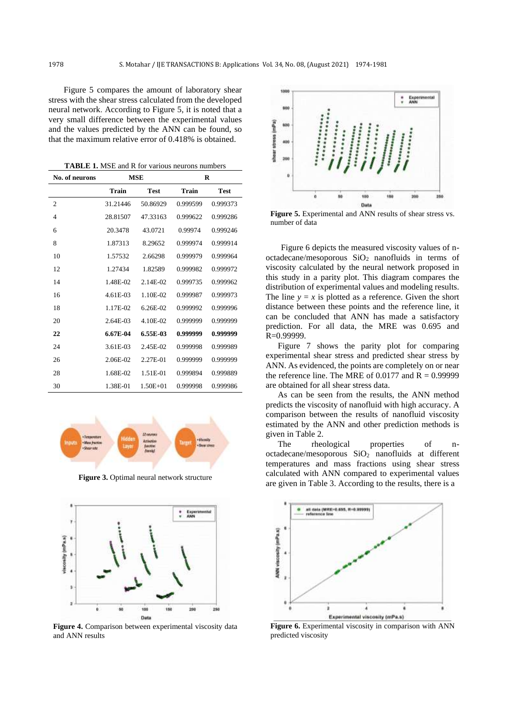Figure 5 compares the amount of laboratory shear stress with the shear stress calculated from the developed neural network. According to Figure 5, it is noted that a very small difference between the experimental values and the values predicted by the ANN can be found, so that the maximum relative error of 0.418% is obtained.

**TABLE 1.** MSE and R for various neurons numbers

| No. of neurons | <b>MSE</b> |              | R        |             |  |
|----------------|------------|--------------|----------|-------------|--|
|                | Train      | <b>Test</b>  | Train    | <b>Test</b> |  |
| $\overline{2}$ | 31.21446   | 50.86929     | 0.999599 | 0.999373    |  |
| 4              | 28.81507   | 47.33163     | 0.999622 | 0.999286    |  |
| 6              | 20.3478    | 43.0721      | 0.99974  | 0.999246    |  |
| 8              | 1.87313    | 8.29652      | 0.999974 | 0.999914    |  |
| 10             | 1.57532    | 2.66298      | 0.999979 | 0.999964    |  |
| 12             | 1.27434    | 1.82589      | 0.999982 | 0.999972    |  |
| 14             | 1.48E-02   | 2.14E-02     | 0.999735 | 0.999962    |  |
| 16             | 4.61E-03   | 1.10E-02     | 0.999987 | 0.999973    |  |
| 18             | 1.17E-02   | $6.26E - 02$ | 0.999992 | 0.999996    |  |
| 20             | 2.64E-03   | 4.10E-02     | 0.999999 | 0.999999    |  |
| 22             | 6.67E-04   | 6.55E-03     | 0.999999 | 0.999999    |  |
| 24             | 3.61E-03   | 2.45E-02     | 0.999998 | 0.999989    |  |
| 26             | 2.06E-02   | 2.27E-01     | 0.999999 | 0.999999    |  |
| 28             | 1.68E-02   | 1.51E-01     | 0.999894 | 0.999889    |  |
| 30             | 1.38E-01   | $1.50E + 01$ | 0.999998 | 0.999986    |  |



**Figure 3.** Optimal neural network structure



**Figure 4.** Comparison between experimental viscosity data and ANN results



**Figure 5.** Experimental and ANN results of shear stress vs. number of data

Figure 6 depicts the measured viscosity values of noctadecane/mesoporous  $SiO<sub>2</sub>$  nanofluids in terms of viscosity calculated by the neural network proposed in this study in a parity plot. This diagram compares the distribution of experimental values and modeling results. The line  $y = x$  is plotted as a reference. Given the short distance between these points and the reference line, it can be concluded that ANN has made a satisfactory prediction. For all data, the MRE was 0.695 and  $R=0.999999$ .

Figure 7 shows the parity plot for comparing experimental shear stress and predicted shear stress by ANN. As evidenced, the points are completely on or near the reference line. The MRE of  $0.0177$  and  $R = 0.99999$ are obtained for all shear stress data.

As can be seen from the results, the ANN method predicts the viscosity of nanofluid with high accuracy. A comparison between the results of nanofluid viscosity estimated by the ANN and other prediction methods is given in Table 2.

The rheological properties of noctadecane/mesoporous SiO<sup>2</sup> nanofluids at different temperatures and mass fractions using shear stress calculated with ANN compared to experimental values are given in Table 3. According to the results, there is a



**Figure 6.** Experimental viscosity in comparison with ANN predicted viscosity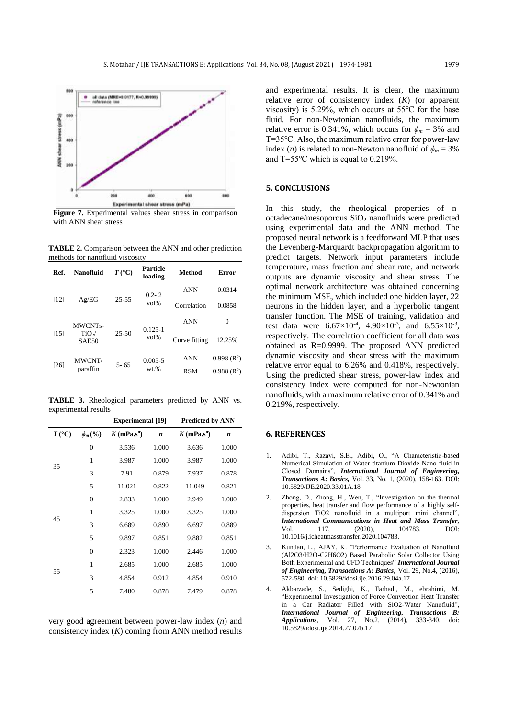

**Figure 7.** Experimental values shear stress in comparison with ANN shear stress

**TABLE 2.** Comparison between the ANN and other prediction methods for nanofluid viscosity

| Ref.   | <b>Nanofluid</b>                                        | $T({}^{\circ}C)$ | Particle<br>loading    | Method        | Error        |
|--------|---------------------------------------------------------|------------------|------------------------|---------------|--------------|
| [12]   | Ag/EG                                                   | $25 - 55$        | $0.2 - 2$<br>$vol\%$   | <b>ANN</b>    | 0.0314       |
|        |                                                         |                  |                        | Correlation   | 0.0858       |
| $[15]$ | <b>MWCNTs-</b><br>TiO <sub>2</sub><br>SAE <sub>50</sub> | $25 - 50$        | $0.125 - 1$<br>$vol\%$ | <b>ANN</b>    | $\Omega$     |
|        |                                                         |                  |                        | Curve fitting | 12.25%       |
| [26]   | <b>MWCNT/</b><br>paraffin                               | $5 - 65$         | $0.005 - 5$<br>$wt.$ % | <b>ANN</b>    | $0.998(R^2)$ |
|        |                                                         |                  |                        | <b>RSM</b>    | $0.988(R^2)$ |

**TABLE 3.** Rheological parameters predicted by ANN vs. experimental results

|                  |                  | <b>Experimental</b> [19] |       | <b>Predicted by ANN</b> |       |  |
|------------------|------------------|--------------------------|-------|-------------------------|-------|--|
| $T({}^{\circ}C)$ | $\phi_m$ (%)     | $K(mPa.s^n)$             | n     | $K(mPa.s^n)$            | n     |  |
| 35               | $\mathbf{0}$     | 3.536                    | 1.000 | 3.636                   | 1.000 |  |
|                  | 1                | 3.987                    | 1.000 | 3.987                   | 1.000 |  |
|                  | 3                | 7.91                     | 0.879 | 7.937                   | 0.878 |  |
|                  | 5                | 11.021                   | 0.822 | 11.049                  | 0.821 |  |
| 45               | $\boldsymbol{0}$ | 2.833                    | 1.000 | 2.949                   | 1.000 |  |
|                  | $\mathbf{1}$     | 3.325                    | 1.000 | 3.325                   | 1.000 |  |
|                  | 3                | 6.689                    | 0.890 | 6.697                   | 0.889 |  |
|                  | 5                | 9.897                    | 0.851 | 9.882                   | 0.851 |  |
| 55               | $\mathbf{0}$     | 2.323                    | 1.000 | 2.446                   | 1.000 |  |
|                  | $\mathbf{1}$     | 2.685                    | 1.000 | 2.685                   | 1.000 |  |
|                  | 3                | 4.854                    | 0.912 | 4.854                   | 0.910 |  |
|                  | 5                | 7.480                    | 0.878 | 7.479                   | 0.878 |  |

very good agreement between power-law index (*n*) and consistency index (*K*) coming from ANN method results and experimental results. It is clear, the maximum relative error of consistency index (*K*) (or apparent viscosity) is 5.29%, which occurs at 55℃ for the base fluid. For non-Newtonian nanofluids, the maximum relative error is 0.341%, which occurs for  $\phi_m = 3\%$  and T=35℃. Also, the maximum relative error for power-law index (*n*) is related to non-Newton nanofluid of  $\phi_m = 3\%$ and T=55℃ which is equal to 0.219%.

### **5. CONCLUSIONS**

In this study, the rheological properties of noctadecane/mesoporous  $SiO<sub>2</sub>$  nanofluids were predicted using experimental data and the ANN method. The proposed neural network is a feedforward MLP that uses the Levenberg-Marquardt backpropagation algorithm to predict targets. Network input parameters include temperature, mass fraction and shear rate, and network outputs are dynamic viscosity and shear stress. The optimal network architecture was obtained concerning the minimum MSE, which included one hidden layer, 22 neurons in the hidden layer, and a hyperbolic tangent transfer function. The MSE of training, validation and test data were  $6.67 \times 10^{-4}$ ,  $4.90 \times 10^{-3}$ , and  $6.55 \times 10^{-3}$ , respectively. The correlation coefficient for all data was obtained as R=0.9999. The proposed ANN predicted dynamic viscosity and shear stress with the maximum relative error equal to 6.26% and 0.418%, respectively. Using the predicted shear stress, power-law index and consistency index were computed for non-Newtonian nanofluids, with a maximum relative error of 0.341% and 0.219%, respectively.

## **6. REFERENCES**

- 1. Adibi, T., Razavi, S.E., Adibi, O., "A Characteristic-based Numerical Simulation of Water-titanium Dioxide Nano-fluid in Closed Domains", *International Journal of Engineering, Transactions A: Basics,* Vol. 33, No. 1, (2020), 158-163. DOI: 10.5829/IJE.2020.33.01A.18
- 2. Zhong, D., Zhong, H., Wen, T., "Investigation on the thermal properties, heat transfer and flow performance of a highly selfdispersion TiO2 nanofluid in a multiport mini channel", *International Communications in Heat and Mass Transfer*, Vol. 117, (2020), 104783. DOI: 10.1016/j.icheatmasstransfer.2020.104783.
- 3. Kundan, L., AJAY, K. "Performance Evaluation of Nanofluid (Al2O3/H2O-C2H6O2) Based Parabolic Solar Collector Using Both Experimental and CFD Techniques" *International Journal of Engineering, Transactions A: Basics*, Vol. 29, No.4, (2016), 572-580. doi: 10.5829/idosi.ije.2016.29.04a.17
- 4. Akbarzade, S., Sedighi, K., Farhadi, M., ebrahimi, M. "Experimental Investigation of Force Convection Heat Transfer in a Car Radiator Filled with SiO2-Water Nanofluid", *International Journal of Engineering, Transactions B: Applications*, Vol. 27, No.2, (2014), 333-340. doi: 10.5829/idosi.ije.2014.27.02b.17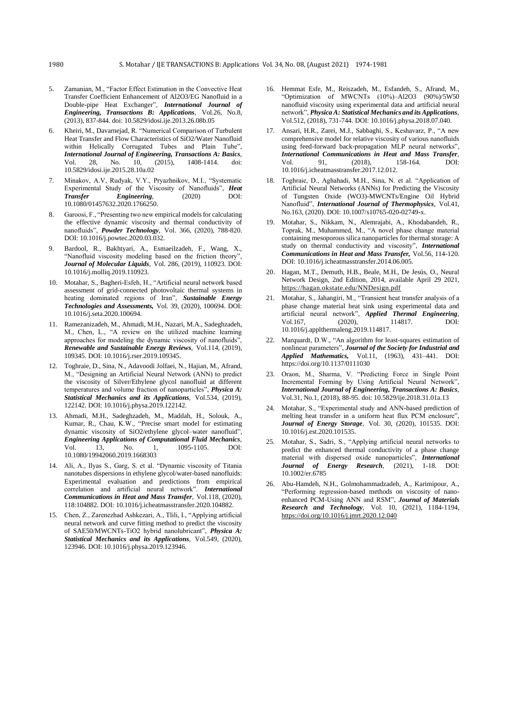- 5. Zamanian, M., "Factor Effect Estimation in the Convective Heat Transfer Coefficient Enhancement of Al2O3/EG Nanofluid in a Double-pipe Heat Exchanger", *International Journal of Engineering, Transactions B: Applications*, Vol.26, No.8, (2013), 837-844. doi: 10.5829/idosi.ije.2013.26.08b.05
- 6. Kheiri, M., Davarnejad, R. "Numerical Comparison of Turbulent Heat Transfer and Flow Characteristics of SiO2/Water Nanofluid within Helically Corrugated Tubes and Plain Tube", *International Journal of Engineering, Transactions A: Basics*, Vol. 28, No. 10, (2015), 1408-1414. doi: 10.5829/idosi.ije.2015.28.10a.02
- 7. Minakov, A.V, Rudyak, V.Y., Pryazhnikov, M.I., "Systematic Experimental Study of the Viscosity of Nanofluids", *Heat Transfer Engineering*, (2020) DOI: 10.1080/01457632.2020.1766250.
- 8. Garoosi, F., "Presenting two new empirical models for calculating the effective dynamic viscosity and thermal conductivity of nanofluids", *Powder Technology*, Vol. 366, (2020), 788-820. DOI: 10.1016/j.powtec.2020.03.032.
- 9. Bardool, R., Bakhtyari, A., Esmaeilzadeh, F., Wang, X., "Nanofluid viscosity modeling based on the friction theory", *Journal of Molecular Liquids*, Vol. 286, (2019), 110923. DOI: 10.1016/j.molliq.2019.110923.
- 10. Motahar, S., Bagheri-Esfeh, H., "Artificial neural network based assessment of grid-connected photovoltaic thermal systems in heating dominated regions of Iran", *Sustainable Energy Technologies and Assessments,* Vol. 39, (2020), 100694. DOI: 10.1016/j.seta.2020.100694.
- 11. Ramezanizadeh, M., Ahmadi, M.H., Nazari, M.A., Sadeghzadeh, M., Chen, L., "A review on the utilized machine learning approaches for modeling the dynamic viscosity of nanofluids", *Renewable and Sustainable Energy Reviews*, Vol.114, (2019), 109345. DOI: 10.1016/j.rser.2019.109345.
- 12. Toghraie, D., Sina, N., Adavoodi Jolfaei, N., Hajian, M., Afrand, M., "Designing an Artificial Neural Network (ANN) to predict the viscosity of Silver/Ethylene glycol nanofluid at different temperatures and volume fraction of nanoparticles", *Physica A: Statistical Mechanics and its Applications*, Vol.534, (2019), 122142. DOI: [10.1016/j.physa.2019.122142.](https://doi.org/10.1016/j.physa.2019.122142)
- 13. Ahmadi, M.H., Sadeghzadeh, M., Maddah, H., Solouk, A., Kumar, R., Chau, K.W., "Precise smart model for estimating dynamic viscosity of SiO2/ethylene glycol–water nanofluid", *Engineering Applications of Computational Fluid Mechanics*, Vol. 13, No. 1, 1095-1105. DOI: 10.1080/19942060.2019.1668303
- 14. Ali, A., Ilyas S., Garg, S. et al. "Dynamic viscosity of Titania nanotubes dispersions in ethylene glycol/water-based nanofluids: Experimental evaluation and predictions from empirical correlation and artificial neural network". *International Communications in Heat and Mass Transfer*, Vol.118, (2020), 118:104882. DOI: 10.1016/j.icheatmasstransfer.2020.104882.
- 15. Chen, Z., Zarenezhad Ashkezari, A., Tlili, I., "Applying artificial neural network and curve fitting method to predict the viscosity of SAE50/MWCNTs-TiO2 hybrid nanolubricant", *Physica A: Statistical Mechanics and its Applications*, Vol.549, (2020), 123946. DOI: 10.1016/j.physa.2019.123946.
- 16. Hemmat Esfe, M., Reiszadeh, M., Esfandeh, S., Afrand, M., "Optimization of MWCNTs (10%)–Al2O3 (90%)/5W50 nanofluid viscosity using experimental data and artificial neural network", *Physica A: Statistical Mechanics and its Applications*, Vol.512, (2018), 731-744. DOI: 10.1016/j.physa.2018.07.040.
- 17. Ansari, H.R., Zarei, M.J., Sabbaghi, S., Keshavarz, P., "A new comprehensive model for relative viscosity of various nanofluids using feed-forward back-propagation MLP neural networks", *International Communications in Heat and Mass Transfer*, Vol. 91, (2018), 158-164. DOI: 10.1016/j.icheatmasstransfer.2017.12.012.
- 18. Toghraie, D., Aghahadi, M.H., Sina, N. et al. "Application of Artificial Neural Networks (ANNs) for Predicting the Viscosity of Tungsten Oxide (WO3)-MWCNTs/Engine Oil Hybrid Nanofluid", *International Journal of Thermophysics*, Vol.41, No.163, (2020). DOI: 10.1007/s10765-020-02749-x.
- 19. Motahar, S., Nikkam, N., Alemrajabi, A., Khodabandeh, R., Toprak, M., Muhammed, M., "A novel phase change material containing mesoporous silica nanoparticles for thermal storage: A study on thermal conductivity and viscosity", *International Communications in Heat and Mass Transfer,* Vol.56, 114-120. DOI: 10.1016/j.icheatmasstransfer.2014.06.005.
- 20. Hagan, M.T., Demuth, H.B., Beale, M.H., De Jesús, O., Neural Network Design, 2nd Edition, 2014, available April 29 2021, <https://hagan.okstate.edu/NNDesign.pdf>
- 21. Motahar, S., Jahangiri, M., "Transient heat transfer analysis of a phase change material heat sink using experimental data and artificial neural network", *Applied Thermal Engineering*, Vol.167, (2020), 114817. DOI: 10.1016/j.applthermaleng.2019.114817.
- 22. Marquardt, D.W., "An algorithm for least-squares estimation of nonlinear parameters", *Journal of the Society for Industrial and Applied Mathematics,* Vol.11, (1963), 431–441. DOI: https://doi.org/10.1137/0111030
- 23. Oraon, M., Sharma, V. "Predicting Force in Single Point Incremental Forming by Using Artificial Neural Network", *International Journal of Engineering, Transactions A: Basics*, Vol.31, No.1, (2018), 88-95. doi: 10.5829/ije.2018.31.01a.13
- 24. Motahar, S., "Experimental study and ANN-based prediction of melting heat transfer in a uniform heat flux PCM enclosure", *Journal of Energy Storage*, Vol. 30, (2020), 101535. DOI: 10.1016/j.est.2020.101535.
- 25. Motahar, S., Sadri, S., "Applying artificial neural networks to predict the enhanced thermal conductivity of a phase change material with dispersed oxide nanoparticles", *International Journal of Energy Research*, (2021), 1-18. DOI: 10.1002/er.6785
- 26. Abu-Hamdeh, N.H., Golmohammadzadeh, A., Karimipour, A., "Performing regression-based methods on viscosity of nanoenhanced PCM-Using ANN and RSM", *Journal of Materials Research and Technology*, Vol. 10, (2021), 1184-1194, <https://doi.org/10.1016/j.jmrt.2020.12.040>